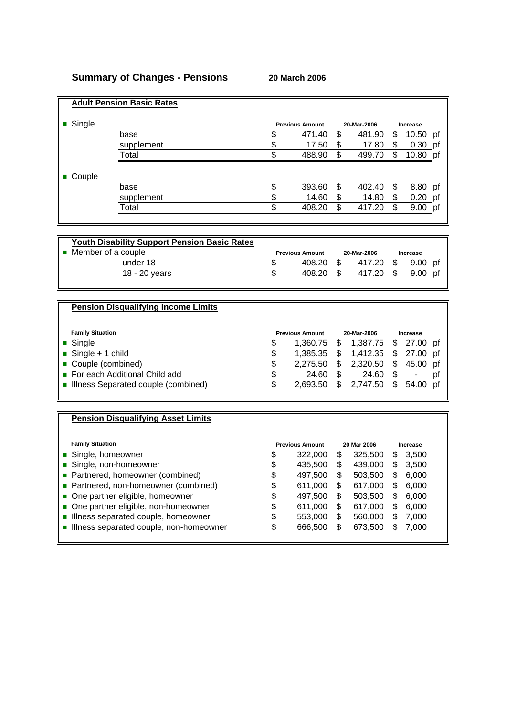# **Summary of Changes - Pensions 20 March 2006**

|                         | <b>Adult Pension Basic Rates</b>                    |                |                        |                          |             |                 |                 |    |
|-------------------------|-----------------------------------------------------|----------------|------------------------|--------------------------|-------------|-----------------|-----------------|----|
|                         |                                                     |                |                        |                          |             |                 |                 |    |
| Single                  |                                                     |                | <b>Previous Amount</b> |                          | 20-Mar-2006 |                 | <b>Increase</b> |    |
|                         | base                                                |                | 471.40                 | \$                       | 481.90      | \$              | 10.50           | pf |
|                         | supplement                                          | \$             | 17.50                  | \$                       | 17.80       | \$              | $0.30$ pf       |    |
|                         | Total                                               | \$             | 488.90                 | $\overline{\mathcal{S}}$ | 499.70      | \$              | 10.80           | pf |
|                         |                                                     |                |                        |                          |             |                 |                 |    |
| Couple                  |                                                     |                |                        |                          |             |                 |                 |    |
|                         | base                                                | \$             | 393.60                 | \$                       | 402.40      | \$              | 8.80 pf         |    |
|                         | supplement                                          | \$             | 14.60                  | \$                       | 14.80       | \$              | $0.20$ pf       |    |
|                         | Total                                               | $\overline{s}$ | 408.20                 | $\overline{\$}$          | 417.20      | $\overline{\$}$ | 9.00 pf         |    |
|                         |                                                     |                |                        |                          |             |                 |                 |    |
|                         |                                                     |                |                        |                          |             |                 |                 |    |
|                         | <b>Youth Disability Support Pension Basic Rates</b> |                |                        |                          |             |                 |                 |    |
| Member of a couple      |                                                     |                | <b>Previous Amount</b> |                          | 20-Mar-2006 |                 | Increase        |    |
|                         | under 18                                            | \$             | 408.20                 | \$                       | 417.20      | \$              | 9.00            | pf |
|                         | 18 - 20 years                                       | \$             | 408.20                 | \$                       | 417.20      | \$              | 9.00            | pf |
|                         |                                                     |                |                        |                          |             |                 |                 |    |
|                         |                                                     |                |                        |                          |             |                 |                 |    |
|                         | <b>Pension Disqualifying Income Limits</b>          |                |                        |                          |             |                 |                 |    |
|                         |                                                     |                |                        |                          |             |                 |                 |    |
| <b>Family Situation</b> |                                                     |                | <b>Previous Amount</b> |                          | 20-Mar-2006 |                 | <b>Increase</b> |    |
| Single                  |                                                     | \$             | 1,360.75               | \$                       | 1,387.75    | \$              | 27.00           | pf |
| Single + 1 child        |                                                     | \$             | 1,385.35               | \$                       | 1,412.35    |                 | \$27.00         | pf |
| Couple (combined)       |                                                     | \$             | 2,275.50               | \$                       | 2,320.50    |                 | \$45.00         | pf |
|                         | For each Additional Child add                       | \$             | 24.60                  | \$                       | 24.60       | \$              |                 | pf |
|                         | Illness Separated couple (combined)                 |                | 2,693.50               | \$                       | 2,747.50    | \$              | 54.00           | pf |
|                         |                                                     |                |                        |                          |             |                 |                 |    |
|                         |                                                     |                |                        |                          |             |                 |                 |    |
|                         | <b>Pension Disqualifying Asset Limits</b>           |                |                        |                          |             |                 |                 |    |
|                         |                                                     |                |                        |                          |             |                 |                 |    |
| <b>Family Situation</b> |                                                     |                | <b>Previous Amount</b> |                          | 20 Mar 2006 |                 | Increase        |    |
| Single, homeowner       |                                                     | \$             | 322,000                | \$                       | 325,500     | \$              | 3,500           |    |
|                         | Single, non-homeowner                               | \$             | 435,500                | \$                       | 439,000     | \$              | 3,500           |    |
|                         | Partnered, homeowner (combined)                     | \$             | 497,500                | \$                       | 503,500     | \$              | 6,000           |    |
|                         | Partnered, non-homeowner (combined)                 | \$             | 611,000                | \$                       | 617,000     | \$              | 6,000           |    |
|                         | One partner eligible, homeowner                     | \$             | 497,500                | \$                       | 503,500     | \$              | 6,000           |    |
|                         | One partner eligible, non-homeowner                 | \$             | 611,000                | \$                       | 617,000     | \$              | 6,000           |    |
|                         | Illness separated couple, homeowner                 | \$             | 553,000                | \$                       | 560,000     | \$              | 7,000           |    |
|                         | Illness separated couple, non-homeowner             | \$             | 666,500                | \$                       | 673,500     | \$              | 7,000           |    |
|                         |                                                     |                |                        |                          |             |                 |                 |    |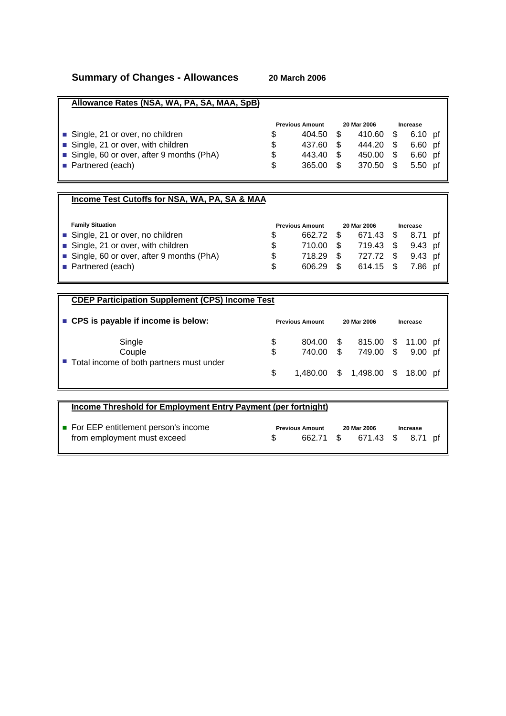## **Summary of Changes - Allowances 20 March 2006**

| Allowance Rates (NSA, WA, PA, SA, MAA, SpB) |    |                        |     |             |     |          |  |
|---------------------------------------------|----|------------------------|-----|-------------|-----|----------|--|
|                                             |    | <b>Previous Amount</b> |     | 20 Mar 2006 |     | Increase |  |
| Single, 21 or over, no children             |    | 404.50                 | S.  | 410.60      |     | 6.10 pf  |  |
| Single, 21 or over, with children           | S  | 437.60                 | \$. | 444.20      | S   | 6.60 pf  |  |
| Single, 60 or over, after 9 months (PhA)    | \$ | 443.40                 |     | 450.00      |     | 6.60 pf  |  |
| ■ Partnered (each)                          | S  | 365.00                 |     | 370.50      | \$. | 5.50 pf  |  |

#### **Income Test Cutoffs for NSA, WA, PA, SA & MAA**

| <b>Family Situation</b>                  |     | <b>Previous Amount</b> |      | 20 Mar 2006 | Increase |  |
|------------------------------------------|-----|------------------------|------|-------------|----------|--|
| Single, 21 or over, no children          | \$. | 662.72 \$              |      | 671.43 \$   | 8.71 pf  |  |
| Single, 21 or over, with children        | \$. | 710.00                 | - \$ | 719.43 \$   | 9.43 pf  |  |
| Single, 60 or over, after 9 months (PhA) | \$  | 718.29                 | - \$ | 727.72 \$   | 9.43 pf  |  |
| ■ Partnered (each)                       | \$  | 606.29                 | - \$ | 614.15 \$   | 7.86 pf  |  |

### **CDEP Participation Supplement (CPS) Income Test**

| ■ CPS is payable if income is below:                 |    | <b>Previous Amount</b> |          | 20 Mar 2006                      |      | Increase   |  |
|------------------------------------------------------|----|------------------------|----------|----------------------------------|------|------------|--|
| Single                                               | \$ | 804.00 \$              |          | 815.00 \$ 11.00 pf               |      |            |  |
| Couple<br>■ Total income of both partners must under | \$ | 740.00                 | <b>S</b> | 749.00                           | - \$ | $9.000$ of |  |
|                                                      | £. |                        |          | 1,480.00 \$ 1,498.00 \$ 18.00 pf |      |            |  |

| Income Threshold for Employment Entry Payment (per fortnight) |        |                        |     |                   |          |  |
|---------------------------------------------------------------|--------|------------------------|-----|-------------------|----------|--|
| For EEP entitlement person's income                           |        | <b>Previous Amount</b> |     | 20 Mar 2006       | Increase |  |
| from employment must exceed                                   | 662.71 |                        | - S | 671.43 \$ 8.71 pf |          |  |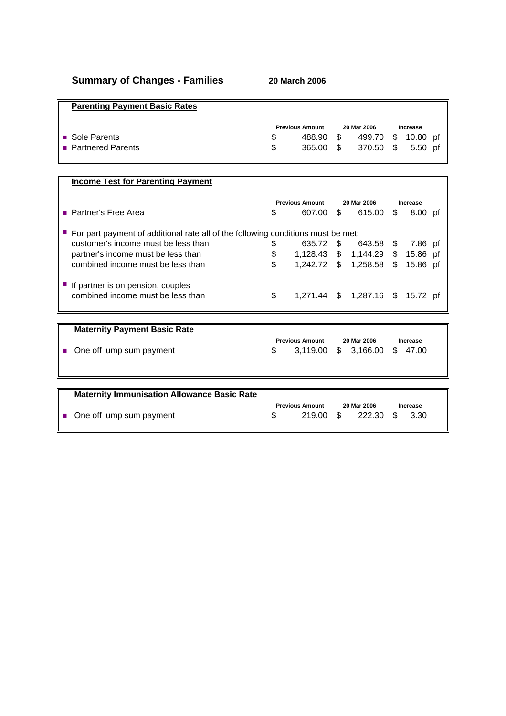| <b>Parenting Payment Basic Rates</b>  |        |                                            |                                 |            |                                   |  |
|---------------------------------------|--------|--------------------------------------------|---------------------------------|------------|-----------------------------------|--|
| Sole Parents<br>I ■ Partnered Parents | S<br>S | <b>Previous Amount</b><br>488.90<br>365.00 | 20 Mar 2006<br>499.70<br>370.50 | \$<br>- \$ | Increase<br>$10.80$ pf<br>5.50 pf |  |
|                                       |        |                                            |                                 |            |                                   |  |

| <b>Income Test for Parenting Payment</b>                                         |                        |               |                                  |     |          |  |
|----------------------------------------------------------------------------------|------------------------|---------------|----------------------------------|-----|----------|--|
|                                                                                  |                        |               |                                  |     |          |  |
|                                                                                  | <b>Previous Amount</b> |               | 20 Mar 2006                      |     | Increase |  |
| Partner's Free Area                                                              | \$<br>607.00           | $\mathcal{S}$ | 615.00                           | S.  | 8.00 pf  |  |
| For part payment of additional rate all of the following conditions must be met: |                        |               |                                  |     |          |  |
| customer's income must be less than                                              | \$<br>635.72           | \$.           | 643.58                           | S.  | 7.86 pf  |  |
| partner's income must be less than                                               | \$                     |               | 1,128.43 \$ 1,144.29 \$ 15.86 pf |     |          |  |
| combined income must be less than                                                | \$<br>$1,242.72$ \$    |               | 1,258.58                         | \$  | 15.86 pf |  |
| If partner is on pension, couples                                                |                        |               |                                  |     |          |  |
| combined income must be less than                                                | \$                     |               | 1,271.44 \$ 1,287.16 \$          |     | 15.72 pf |  |
|                                                                                  |                        |               |                                  |     |          |  |
| <b>Maternity Payment Basic Rate</b>                                              |                        |               |                                  |     |          |  |
|                                                                                  | <b>Previous Amount</b> |               | 20 Mar 2006                      |     | Increase |  |
| One off lump sum payment                                                         | \$<br>3,119.00         |               | \$3,166.00                       | \$. | 47.00    |  |
|                                                                                  |                        |               |                                  |     |          |  |
|                                                                                  |                        |               |                                  |     |          |  |
| <b>Maternity Immunisation Allowance Basic Rate</b>                               |                        |               |                                  |     |          |  |
|                                                                                  | <b>Previous Amount</b> |               | 20 Mar 2006                      |     | Increase |  |
| One off lump sum payment                                                         | \$<br>219.00           | S             | 222.30                           | S   | 3.30     |  |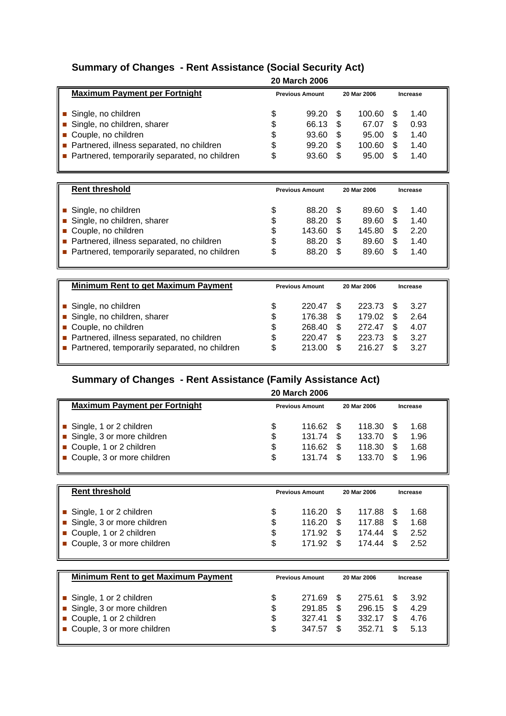## **Summary of Changes - Rent Assistance (Social Security Act)**

|                                                                                                                                                                         |                            | <b>20 March 2006</b>                      |                           |                                             |                                      |  |
|-------------------------------------------------------------------------------------------------------------------------------------------------------------------------|----------------------------|-------------------------------------------|---------------------------|---------------------------------------------|--------------------------------------|--|
| <b>Maximum Payment per Fortnight</b>                                                                                                                                    |                            | <b>Previous Amount</b>                    |                           | 20 Mar 2006                                 | Increase                             |  |
| Single, no children<br>Single, no children, sharer<br>Couple, no children<br>Partnered, illness separated, no children<br>Partnered, temporarily separated, no children | \$<br>\$<br>\$<br>\$<br>\$ | 99.20<br>66.13<br>93.60<br>99.20<br>93.60 | S<br>\$<br>\$<br>\$<br>\$ | 100.60<br>67.07<br>95.00<br>100.60<br>95.00 | 1.40<br>0.93<br>1.40<br>1.40<br>1.40 |  |

| <b>Rent threshold</b>                         | <b>Previous Amount</b> |     | 20 Mar 2006 | Increase |  |
|-----------------------------------------------|------------------------|-----|-------------|----------|--|
|                                               |                        |     |             |          |  |
| Single, no children                           | \$<br>88.20            | \$. | 89.60       | 1.40     |  |
| Single, no children, sharer                   | \$<br>88.20            | \$. | 89.60       | 1.40     |  |
| Couple, no children                           | \$<br>143.60           | \$. | 145.80      | 2.20     |  |
| Partnered, illness separated, no children     | \$<br>88.20            | \$  | 89.60       | 1.40     |  |
| Partnered, temporarily separated, no children | \$<br>88.20            | S   | 89.60       | 1.40     |  |

| <b>Minimum Rent to get Maximum Payment</b>    |    | <b>Previous Amount</b> |      | 20 Mar 2006 | Increase |
|-----------------------------------------------|----|------------------------|------|-------------|----------|
| Single, no children                           | S  | 220.47                 |      | 223.73      | 3.27     |
| Single, no children, sharer                   | \$ | 176.38                 | - \$ | 179.02      | 2.64     |
| Couple, no children                           | \$ | 268.40                 | -S   | 272.47      | 4.07     |
| Partnered, illness separated, no children     | \$ | 220.47                 | S    | 223.73      | 3.27     |
| Partnered, temporarily separated, no children | S  | 213.00                 | \$   | 216.27      | 3 27     |

# **Summary of Changes - Rent Assistance (Family Assistance Act)**

| \$<br>\$<br>\$<br>\$ | 116.62<br>131.74<br>116.62<br>131.74 | - \$<br>S                                      | 118.30<br>133.70<br>118.30<br>133.70 |             | 1.68<br>1.96<br>1.68<br>1.96 |          |
|----------------------|--------------------------------------|------------------------------------------------|--------------------------------------|-------------|------------------------------|----------|
|                      |                                      | <b>20 March 2006</b><br><b>Previous Amount</b> |                                      | 20 Mar 2006 |                              | Increase |

| <b>Rent threshold</b>                  | <b>Previous Amount</b> |        | 20 Mar 2006 |        | Increase |
|----------------------------------------|------------------------|--------|-------------|--------|----------|
| Single, 1 or 2 children                | S                      | 116.20 | - \$        | 117.88 | 1.68     |
| $\parallel$ Single, 3 or more children | S                      | 116.20 | - \$        | 117.88 | 1.68     |
| ■ Couple, 1 or 2 children              | S                      | 171.92 | - \$        | 174.44 | 2.52     |
| Couple, 3 or more children             | \$                     | 171.92 | \$.         | 174.44 | 2.52     |

| <b>Minimum Rent to get Maximum Payment</b> |    | <b>Previous Amount</b> |      | 20 Mar 2006 |  | Increase |  |
|--------------------------------------------|----|------------------------|------|-------------|--|----------|--|
| Single, 1 or 2 children                    | S  | 271.69 \$              |      | 275.61 \$   |  | 3.92     |  |
| Single, 3 or more children                 | \$ | 291.85                 | - \$ | 296.15 \$   |  | 4.29     |  |
| ■ Couple, 1 or 2 children                  | \$ | 327.41                 | -\$  | 332.17 \$   |  | 4.76     |  |
| ■ Couple, 3 or more children               | \$ | 347.57                 | -SS  | 352.71      |  | 5.13     |  |